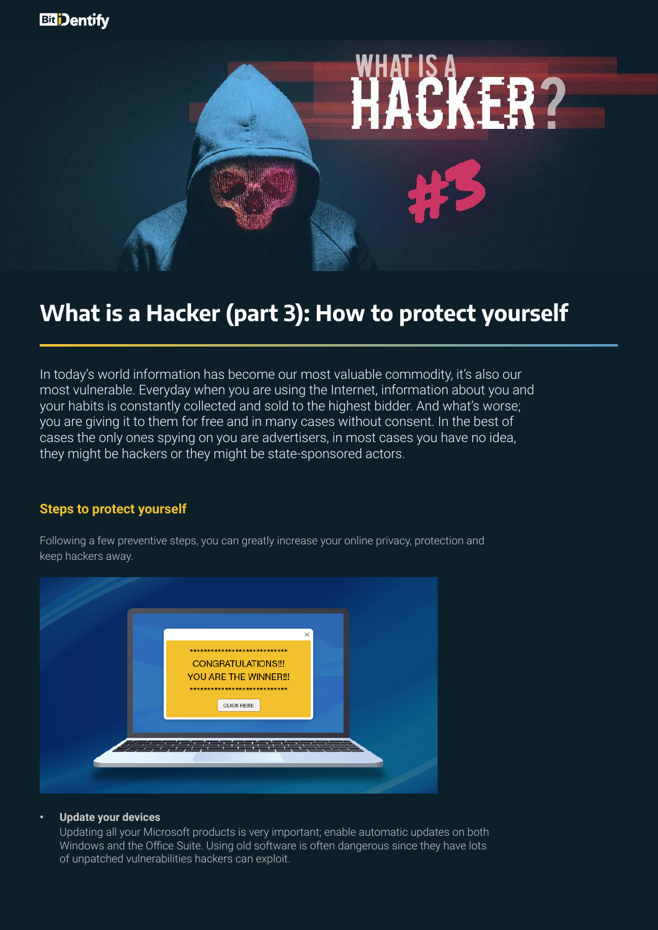

# **What is a Hacker (part 3): How to protect yourself**

In today's world information has become our most valuable commodity, it's also our most vulnerable. Everyday when you are using the Internet, information about you and your habits is constantly collected and sold to the highest bidder. And what's worse; you are giving it to them for free and in many cases without consent. In the best of cases the only ones spying on you are advertisers, in most cases you have no idea, they might be hackers or they might be state-sponsored actors.

# **Steps to protect yourself**

Following a few preventive steps, you can greatly increase your online privacy, protection and keep hackers away.



#### **• Update your devices**

Updating all your Microsoft products is very important; enable automatic updates on both Windows and the Office Suite. Using old software is often dangerous since they have lots of unpatched vulnerabilities hackers can exploit.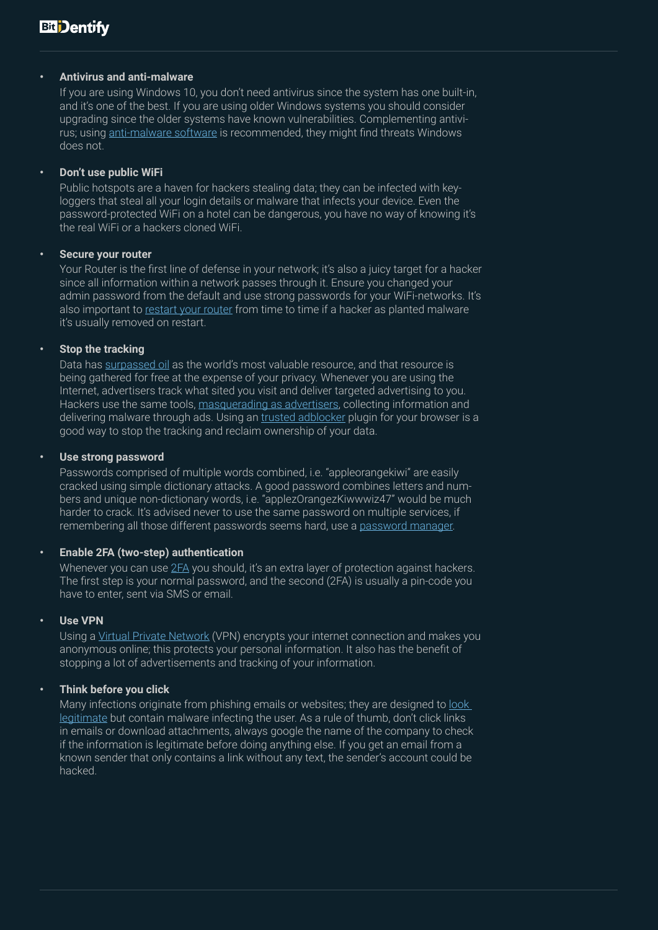#### **• Antivirus and anti-malware**

If you are using Windows 10, you don't need antivirus since the system has one built-in, and it's one of the best. If you are using older Windows systems you should consider upgrading since the older systems have known vulnerabilities. Complementing antivirus; using [anti-malware software](https://www.malwarebytes.com/) is recommended, they might find threats Windows does not.

#### **• Don't use public WiFi**

Public hotspots are a haven for hackers stealing data; they can be infected with keyloggers that steal all your login details or malware that infects your device. Even the password-protected WiFi on a hotel can be dangerous, you have no way of knowing it's the real WiFi or a hackers cloned WiFi.

#### **• Secure your router**

Your Router is the first line of defense in your network; it's also a juicy target for a hacker since all information within a network passes through it. Ensure you changed your admin password from the default and use strong passwords for your WiFi-networks. It's also important to [restart your router](https://www.nytimes.com/2018/05/27/technology/router-fbi-reboot-malware.html) from time to time if a hacker as planted malware it's usually removed on restart.

#### **• Stop the tracking**

Data has [surpassed oil](https://medium.com/@adeolaadesina/data-is-the-new-oil-2947ed8804f6) as the world's most valuable resource, and that resource is being gathered for free at the expense of your privacy. Whenever you are using the Internet, advertisers track what sited you visit and deliver targeted advertising to you. Hackers use the same tools, [masquerading as advertisers](https://www.malwarebytes.com/malvertising/), collecting information and delivering malware through ads. Using an [trusted adblocker](https://www.google.com/search?biw=1192&bih=1173&sxsrf=ACYBGNQqaDfS1dBQlgrIJwbFpNg4njXXpQ%3A1573638004106&ei=dM_LXcWDBoXnrgTbpqDgCg&q=ublock+origin&oq=ublock+origin&gs_l=psy-ab.3..35i39l2j0i203j0j0i203l6.13161.13161..13280...0.2..0.95.95.1......0....1..gws-wiz.......0i71.8IU6kIJwIr8&ved=0ahUKEwjFjfWx8ublAhWFs4sKHVsTCKw4ChDh1QMICg&uact=5) plugin for your browser is a good way to stop the tracking and reclaim ownership of your data.

#### **• Use strong password**

Passwords comprised of multiple words combined, i.e. "appleorangekiwi" are easily cracked using simple dictionary attacks. A good password combines letters and numbers and unique non-dictionary words, i.e. "applezOrangezKiwwwiz47" would be much harder to crack. It's advised never to use the same password on multiple services, if remembering all those different passwords seems hard, use a [password manager.](https://www.cnet.com/news/the-best-password-managers-of-2019/)

## **• Enable 2FA (two-step) authentication**

Whenever you can use [2FA](https://searchsecurity.techtarget.com/definition/two-factor-authentication) you should, it's an extra layer of protection against hackers. The first step is your normal password, and the second (2FA) is usually a pin-code you have to enter, sent via SMS or email.

## **• Use VPN**

Using a [Virtual Private Network](https://www.techradar.com/vpn/best-vpn) (VPN) encrypts your internet connection and makes you anonymous online; this protects your personal information. It also has the benefit of stopping a lot of advertisements and tracking of your information.

## **• Think before you click**

Many infections originate from phishing emails or websites; they are designed to look [legitimate](https://www.phishing.org/phishing-examples) but contain malware infecting the user. As a rule of thumb, don't click links in emails or download attachments, always google the name of the company to check if the information is legitimate before doing anything else. If you get an email from a known sender that only contains a link without any text, the sender's account could be hacked.